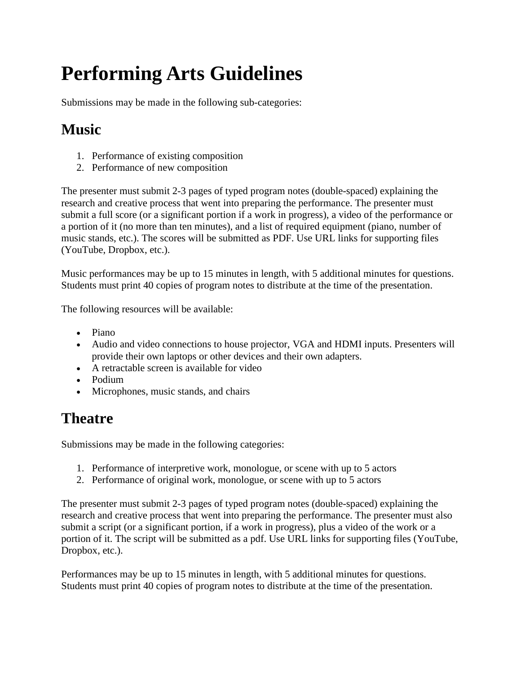## **Performing Arts Guidelines**

Submissions may be made in the following sub-categories:

## **Music**

- 1. Performance of existing composition
- 2. Performance of new composition

The presenter must submit 2-3 pages of typed program notes (double-spaced) explaining the research and creative process that went into preparing the performance. The presenter must submit a full score (or a significant portion if a work in progress), a video of the performance or a portion of it (no more than ten minutes), and a list of required equipment (piano, number of music stands, etc.). The scores will be submitted as PDF. Use URL links for supporting files (YouTube, Dropbox, etc.).

Music performances may be up to 15 minutes in length, with 5 additional minutes for questions. Students must print 40 copies of program notes to distribute at the time of the presentation.

The following resources will be available:

- Piano
- Audio and video connections to house projector, VGA and HDMI inputs. Presenters will provide their own laptops or other devices and their own adapters.
- A retractable screen is available for video
- Podium
- Microphones, music stands, and chairs

## **Theatre**

Submissions may be made in the following categories:

- 1. Performance of interpretive work, monologue, or scene with up to 5 actors
- 2. Performance of original work, monologue, or scene with up to 5 actors

The presenter must submit 2-3 pages of typed program notes (double-spaced) explaining the research and creative process that went into preparing the performance. The presenter must also submit a script (or a significant portion, if a work in progress), plus a video of the work or a portion of it. The script will be submitted as a pdf. Use URL links for supporting files (YouTube, Dropbox, etc.).

Performances may be up to 15 minutes in length, with 5 additional minutes for questions. Students must print 40 copies of program notes to distribute at the time of the presentation.